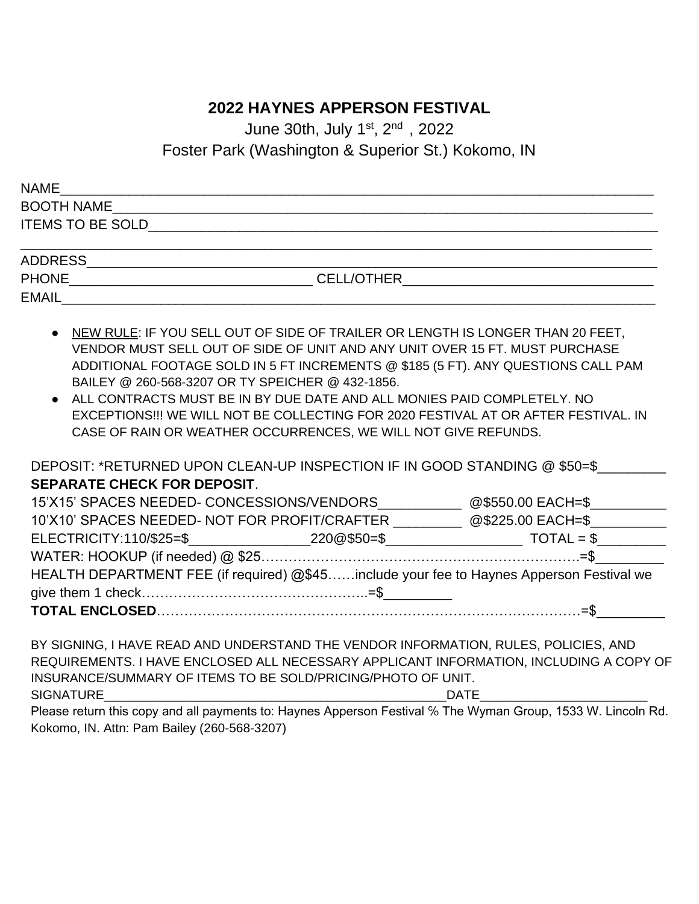### **2022 HAYNES APPERSON FESTIVAL**

June 30th, July 1st, 2<sup>nd</sup>, 2022

Foster Park (Washington & Superior St.) Kokomo, IN

| <b>NAME</b>             |                   |  |
|-------------------------|-------------------|--|
| <b>BOOTH NAME</b>       |                   |  |
| <b>ITEMS TO BE SOLD</b> |                   |  |
|                         |                   |  |
| <b>ADDRESS</b>          |                   |  |
| <b>PHONE</b>            | <b>CELL/OTHER</b> |  |

EMAIL\_\_\_\_\_\_\_\_\_\_\_\_\_\_\_\_\_\_\_\_\_\_\_\_\_\_\_\_\_\_\_\_\_\_\_\_\_\_\_\_\_\_\_\_\_\_\_\_\_\_\_\_\_\_\_\_\_\_\_\_\_\_\_\_\_\_\_\_\_\_\_\_\_\_\_\_\_\_

- NEW RULE: IF YOU SELL OUT OF SIDE OF TRAILER OR LENGTH IS LONGER THAN 20 FEET, VENDOR MUST SELL OUT OF SIDE OF UNIT AND ANY UNIT OVER 15 FT. MUST PURCHASE ADDITIONAL FOOTAGE SOLD IN 5 FT INCREMENTS @ \$185 (5 FT). ANY QUESTIONS CALL PAM BAILEY @ 260-568-3207 OR TY SPEICHER @ 432-1856.
- ALL CONTRACTS MUST BE IN BY DUE DATE AND ALL MONIES PAID COMPLETELY. NO EXCEPTIONS!!! WE WILL NOT BE COLLECTING FOR 2020 FESTIVAL AT OR AFTER FESTIVAL. IN CASE OF RAIN OR WEATHER OCCURRENCES, WE WILL NOT GIVE REFUNDS.

DEPOSIT: \*RETURNED UPON CLEAN-UP INSPECTION IF IN GOOD STANDING @ \$50=\$ **SEPARATE CHECK FOR DEPOSIT**.

| 15'X15' SPACES NEEDED- CONCESSIONS/VENDORS                                               | @\$550.00 EACH=\$ |
|------------------------------------------------------------------------------------------|-------------------|
| 10'X10' SPACES NEEDED- NOT FOR PROFIT/CRAFTER @\$225.00 EACH=\$                          |                   |
|                                                                                          |                   |
|                                                                                          |                   |
| HEALTH DEPARTMENT FEE (if required) @\$45include your fee to Haynes Apperson Festival we |                   |
|                                                                                          |                   |
|                                                                                          |                   |

| BY SIGNING, I HAVE READ AND UNDERSTAND THE VENDOR INFORMATION, RULES, POLICIES, AND    |             |
|----------------------------------------------------------------------------------------|-------------|
| REQUIREMENTS. I HAVE ENCLOSED ALL NECESSARY APPLICANT INFORMATION, INCLUDING A COPY OF |             |
| INSURANCE/SUMMARY OF ITEMS TO BE SOLD/PRICING/PHOTO OF UNIT.                           |             |
| <b>SIGNATURE</b>                                                                       | <b>DATE</b> |

Please return this copy and all payments to: Haynes Apperson Festival ℅ The Wyman Group, 1533 W. Lincoln Rd. Kokomo, IN. Attn: Pam Bailey (260-568-3207)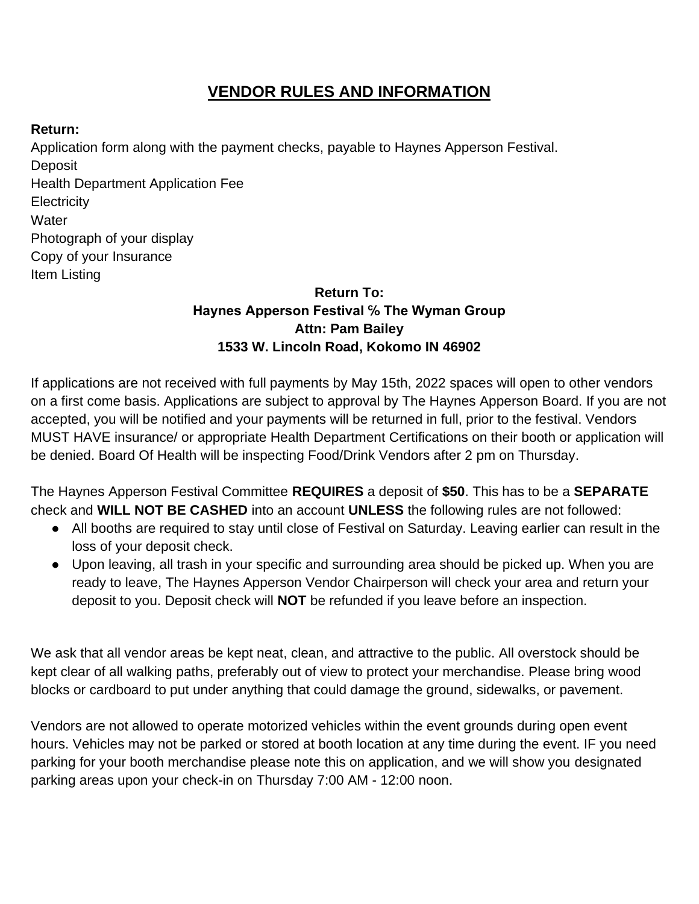### **VENDOR RULES AND INFORMATION**

### **Return:**

Application form along with the payment checks, payable to Haynes Apperson Festival. **Deposit** Health Department Application Fee **Electricity Water** Photograph of your display Copy of your Insurance Item Listing

### **Return To: Haynes Apperson Festival ℅ The Wyman Group Attn: Pam Bailey 1533 W. Lincoln Road, Kokomo IN 46902**

If applications are not received with full payments by May 15th, 2022 spaces will open to other vendors on a first come basis. Applications are subject to approval by The Haynes Apperson Board. If you are not accepted, you will be notified and your payments will be returned in full, prior to the festival. Vendors MUST HAVE insurance/ or appropriate Health Department Certifications on their booth or application will be denied. Board Of Health will be inspecting Food/Drink Vendors after 2 pm on Thursday.

The Haynes Apperson Festival Committee **REQUIRES** a deposit of **\$50**. This has to be a **SEPARATE**  check and **WILL NOT BE CASHED** into an account **UNLESS** the following rules are not followed:

- All booths are required to stay until close of Festival on Saturday. Leaving earlier can result in the loss of your deposit check.
- Upon leaving, all trash in your specific and surrounding area should be picked up. When you are ready to leave, The Haynes Apperson Vendor Chairperson will check your area and return your deposit to you. Deposit check will **NOT** be refunded if you leave before an inspection.

We ask that all vendor areas be kept neat, clean, and attractive to the public. All overstock should be kept clear of all walking paths, preferably out of view to protect your merchandise. Please bring wood blocks or cardboard to put under anything that could damage the ground, sidewalks, or pavement.

Vendors are not allowed to operate motorized vehicles within the event grounds during open event hours. Vehicles may not be parked or stored at booth location at any time during the event. IF you need parking for your booth merchandise please note this on application, and we will show you designated parking areas upon your check-in on Thursday 7:00 AM - 12:00 noon.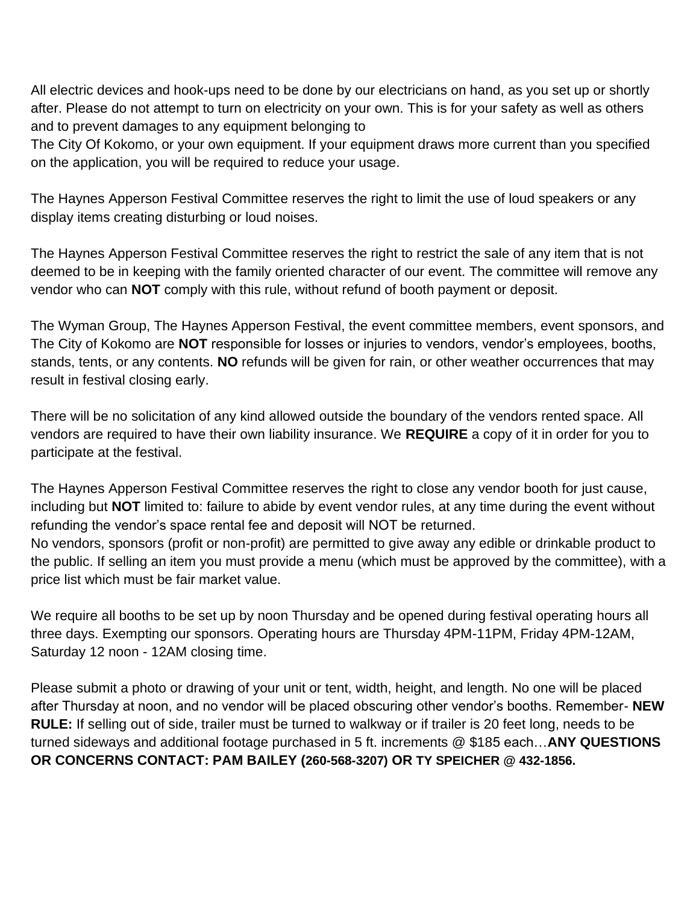All electric devices and hook-ups need to be done by our electricians on hand, as you set up or shortly after. Please do not attempt to turn on electricity on your own. This is for your safety as well as others and to prevent damages to any equipment belonging to

The City Of Kokomo, or your own equipment. If your equipment draws more current than you specified on the application, you will be required to reduce your usage.

The Haynes Apperson Festival Committee reserves the right to limit the use of loud speakers or any display items creating disturbing or loud noises.

The Haynes Apperson Festival Committee reserves the right to restrict the sale of any item that is not deemed to be in keeping with the family oriented character of our event. The committee will remove any vendor who can **NOT** comply with this rule, without refund of booth payment or deposit.

The Wyman Group, The Haynes Apperson Festival, the event committee members, event sponsors, and The City of Kokomo are **NOT** responsible for losses or injuries to vendors, vendor's employees, booths, stands, tents, or any contents. **NO** refunds will be given for rain, or other weather occurrences that may result in festival closing early.

There will be no solicitation of any kind allowed outside the boundary of the vendors rented space. All vendors are required to have their own liability insurance. We **REQUIRE** a copy of it in order for you to participate at the festival.

The Haynes Apperson Festival Committee reserves the right to close any vendor booth for just cause, including but **NOT** limited to: failure to abide by event vendor rules, at any time during the event without refunding the vendor's space rental fee and deposit will NOT be returned. No vendors, sponsors (profit or non-profit) are permitted to give away any edible or drinkable product to the public. If selling an item you must provide a menu (which must be approved by the committee), with a price list which must be fair market value.

We require all booths to be set up by noon Thursday and be opened during festival operating hours all three days. Exempting our sponsors. Operating hours are Thursday 4PM-11PM, Friday 4PM-12AM, Saturday 12 noon - 12AM closing time.

Please submit a photo or drawing of your unit or tent, width, height, and length. No one will be placed after Thursday at noon, and no vendor will be placed obscuring other vendor's booths. Remember- **NEW RULE:** If selling out of side, trailer must be turned to walkway or if trailer is 20 feet long, needs to be turned sideways and additional footage purchased in 5 ft. increments @ \$185 each…**ANY QUESTIONS OR CONCERNS CONTACT: PAM BAILEY (260-568-3207) OR TY SPEICHER @ 432-1856.**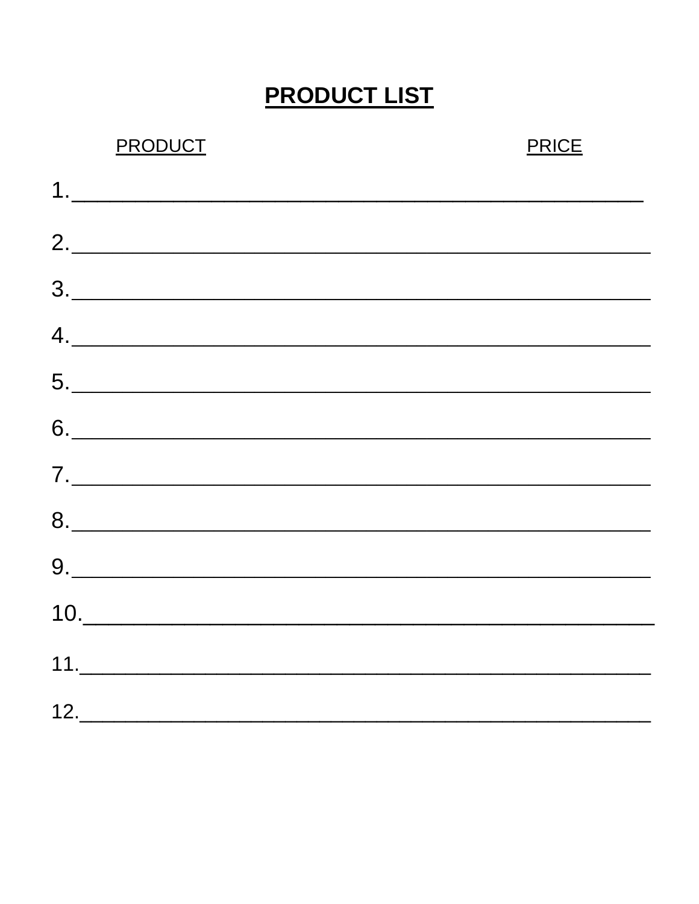## **PRODUCT LIST**

| <b>PRODUCT</b>                                                                                                                                                                                                                                                                                                                                                                                                                                              | <b>PRICE</b> |
|-------------------------------------------------------------------------------------------------------------------------------------------------------------------------------------------------------------------------------------------------------------------------------------------------------------------------------------------------------------------------------------------------------------------------------------------------------------|--------------|
| $\begin{array}{c} \n\text{1.} \quad \text{1.} \quad \text{1.} \quad \text{2.} \quad \text{2.} \quad \text{3.} \quad \text{4.} \quad \text{5.} \quad \text{5.} \quad \text{6.} \quad \text{6.} \quad \text{7.} \quad \text{8.} \quad \text{9.} \quad \text{9.} \quad \text{1.} \quad \text{1.} \quad \text{1.} \quad \text{1.} \quad \text{1.} \quad \text{1.} \quad \text{1.} \quad \text{1.} \quad \text{1.} \quad \text{1.} \quad \text{1.} \quad \text{$ |              |
| 2.                                                                                                                                                                                                                                                                                                                                                                                                                                                          |              |
| $\begin{array}{c} \hline \text{3.} \end{array}$                                                                                                                                                                                                                                                                                                                                                                                                             |              |
| $\begin{picture}(150,10) \put(0,0){\vector(1,0){100}} \put(15,0){\vector(1,0){100}} \put(15,0){\vector(1,0){100}} \put(15,0){\vector(1,0){100}} \put(15,0){\vector(1,0){100}} \put(15,0){\vector(1,0){100}} \put(15,0){\vector(1,0){100}} \put(15,0){\vector(1,0){100}} \put(15,0){\vector(1,0){100}} \put(15,0){\vector(1,0){100}} \put(15,0){\vector(1,0){100}}$                                                                                          |              |
| $\begin{array}{c c c c c c} \hline \textbf{5.} & \textbf{0.} & \textbf{0.} & \textbf{0.} & \textbf{0.} & \textbf{0.} & \textbf{0.} & \textbf{0.} & \textbf{0.} & \textbf{0.} & \textbf{0.} & \textbf{0.} & \textbf{0.} & \textbf{0.} & \textbf{0.} & \textbf{0.} & \textbf{0.} & \textbf{0.} & \textbf{0.} & \textbf{0.} & \textbf{0.} & \textbf{0.} & \textbf{0.} & \textbf{0.} & \textbf{0.} &$                                                           |              |
| $6. \underline{\hspace{2cm}}$                                                                                                                                                                                                                                                                                                                                                                                                                               |              |
| $\begin{array}{c} \mathbf{7.} \begin{array}{c} \begin{array}{c} \begin{array}{c} \end{array}\\ \end{array} \end{array} \end{array}$                                                                                                                                                                                                                                                                                                                         |              |
|                                                                                                                                                                                                                                                                                                                                                                                                                                                             |              |
|                                                                                                                                                                                                                                                                                                                                                                                                                                                             |              |
| 10.                                                                                                                                                                                                                                                                                                                                                                                                                                                         |              |
|                                                                                                                                                                                                                                                                                                                                                                                                                                                             |              |
|                                                                                                                                                                                                                                                                                                                                                                                                                                                             |              |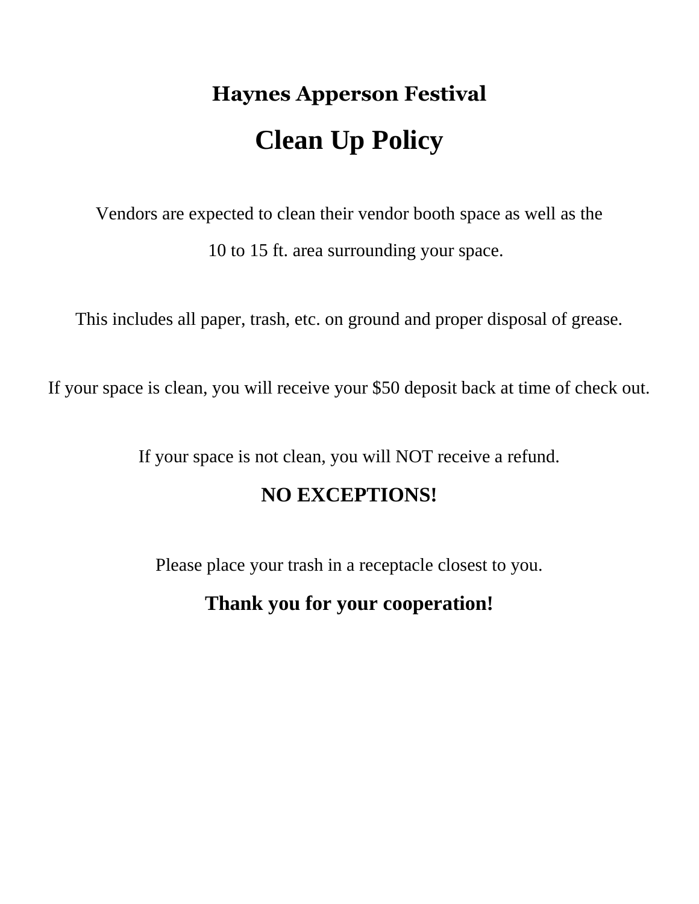# **Haynes Apperson Festival Clean Up Policy**

Vendors are expected to clean their vendor booth space as well as the 10 to 15 ft. area surrounding your space.

This includes all paper, trash, etc. on ground and proper disposal of grease.

If your space is clean, you will receive your \$50 deposit back at time of check out.

If your space is not clean, you will NOT receive a refund.

### **NO EXCEPTIONS!**

Please place your trash in a receptacle closest to you.

### **Thank you for your cooperation!**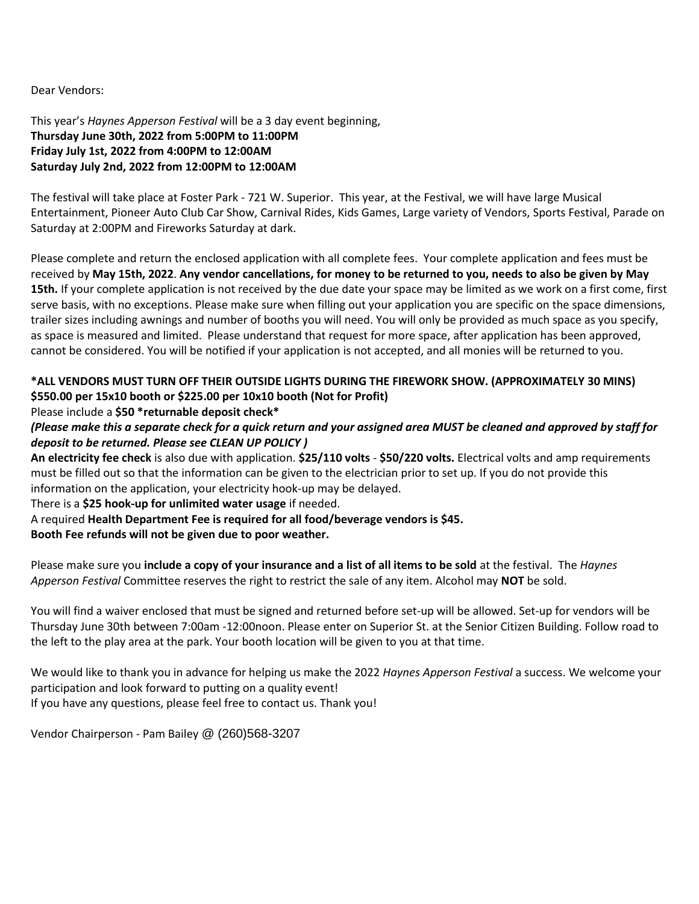Dear Vendors:

This year's *Haynes Apperson Festival* will be a 3 day event beginning, **Thursday June 30th, 2022 from 5:00PM to 11:00PM Friday July 1st, 2022 from 4:00PM to 12:00AM Saturday July 2nd, 2022 from 12:00PM to 12:00AM**

The festival will take place at Foster Park - 721 W. Superior. This year, at the Festival, we will have large Musical Entertainment, Pioneer Auto Club Car Show, Carnival Rides, Kids Games, Large variety of Vendors, Sports Festival, Parade on Saturday at 2:00PM and Fireworks Saturday at dark.

Please complete and return the enclosed application with all complete fees. Your complete application and fees must be received by **May 15th, 2022**. **Any vendor cancellations, for money to be returned to you, needs to also be given by May 15th.** If your complete application is not received by the due date your space may be limited as we work on a first come, first serve basis, with no exceptions. Please make sure when filling out your application you are specific on the space dimensions, trailer sizes including awnings and number of booths you will need. You will only be provided as much space as you specify, as space is measured and limited. Please understand that request for more space, after application has been approved, cannot be considered. You will be notified if your application is not accepted, and all monies will be returned to you.

### **\*ALL VENDORS MUST TURN OFF THEIR OUTSIDE LIGHTS DURING THE FIREWORK SHOW. (APPROXIMATELY 30 MINS) \$550.00 per 15x10 booth or \$225.00 per 10x10 booth (Not for Profit)**

#### Please include a **\$50 \*returnable deposit check\***

### *(Please make this a separate check for a quick return and your assigned area MUST be cleaned and approved by staff for deposit to be returned. Please see CLEAN UP POLICY )*

**An electricity fee check** is also due with application. **\$25/110 volts** - **\$50/220 volts.** Electrical volts and amp requirements must be filled out so that the information can be given to the electrician prior to set up. If you do not provide this information on the application, your electricity hook-up may be delayed.

There is a **\$25 hook-up for unlimited water usage** if needed.

A required **Health Department Fee is required for all food/beverage vendors is \$45.**

#### **Booth Fee refunds will not be given due to poor weather.**

Please make sure you **include a copy of your insurance and a list of all items to be sold** at the festival. The *Haynes Apperson Festival* Committee reserves the right to restrict the sale of any item. Alcohol may **NOT** be sold.

You will find a waiver enclosed that must be signed and returned before set-up will be allowed. Set-up for vendors will be Thursday June 30th between 7:00am -12:00noon. Please enter on Superior St. at the Senior Citizen Building. Follow road to the left to the play area at the park. Your booth location will be given to you at that time.

We would like to thank you in advance for helping us make the 2022 *Haynes Apperson Festival* a success. We welcome your participation and look forward to putting on a quality event! If you have any questions, please feel free to contact us. Thank you!

Vendor Chairperson - Pam Bailey @ (260)568-3207